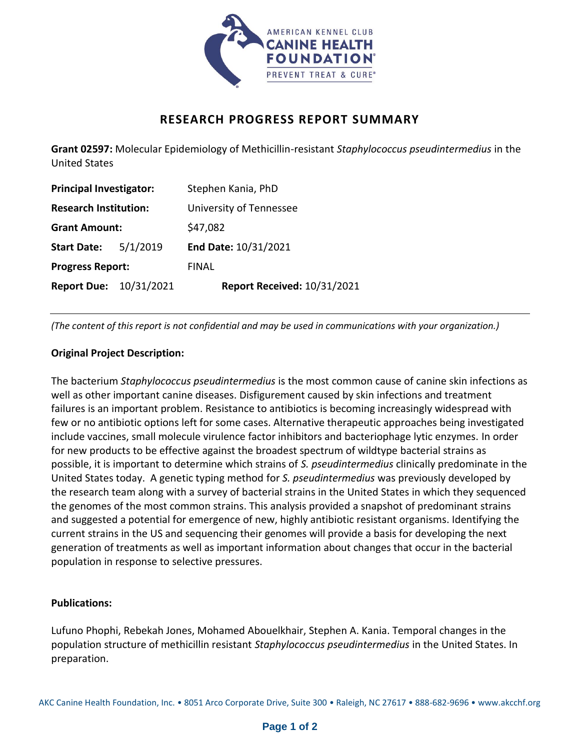

# **RESEARCH PROGRESS REPORT SUMMARY**

**Grant 02597:** Molecular Epidemiology of Methicillin-resistant *Staphylococcus pseudintermedius* in the United States

| <b>Principal Investigator:</b> |  | Stephen Kania, PhD                 |
|--------------------------------|--|------------------------------------|
| <b>Research Institution:</b>   |  | University of Tennessee            |
| <b>Grant Amount:</b>           |  | \$47,082                           |
| <b>Start Date:</b> 5/1/2019    |  | End Date: 10/31/2021               |
| <b>Progress Report:</b>        |  | <b>FINAL</b>                       |
| <b>Report Due: 10/31/2021</b>  |  | <b>Report Received: 10/31/2021</b> |

*(The content of this report is not confidential and may be used in communications with your organization.)*

## **Original Project Description:**

The bacterium *Staphylococcus pseudintermedius* is the most common cause of canine skin infections as well as other important canine diseases. Disfigurement caused by skin infections and treatment failures is an important problem. Resistance to antibiotics is becoming increasingly widespread with few or no antibiotic options left for some cases. Alternative therapeutic approaches being investigated include vaccines, small molecule virulence factor inhibitors and bacteriophage lytic enzymes. In order for new products to be effective against the broadest spectrum of wildtype bacterial strains as possible, it is important to determine which strains of *S. pseudintermedius* clinically predominate in the United States today. A genetic typing method for *S. pseudintermedius* was previously developed by the research team along with a survey of bacterial strains in the United States in which they sequenced the genomes of the most common strains. This analysis provided a snapshot of predominant strains and suggested a potential for emergence of new, highly antibiotic resistant organisms. Identifying the current strains in the US and sequencing their genomes will provide a basis for developing the next generation of treatments as well as important information about changes that occur in the bacterial population in response to selective pressures.

## **Publications:**

Lufuno Phophi, Rebekah Jones, Mohamed Abouelkhair, Stephen A. Kania. Temporal changes in the population structure of methicillin resistant *Staphylococcus pseudintermedius* in the United States. In preparation.